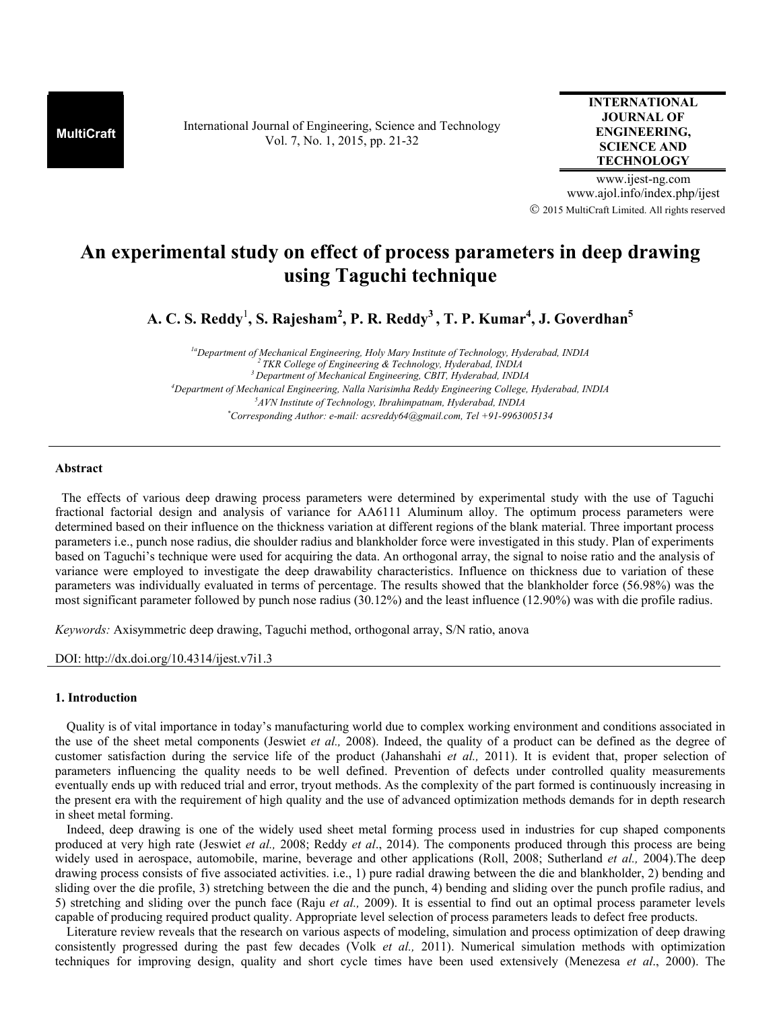**MultiCraft** International Journal of Engineering, Science and Technology Vol. 7, No. 1, 2015, pp. 21-32

# **INTERNATIONAL JOURNAL OF ENGINEERING, SCIENCE AND TECHNOLOGY**

www.ijest-ng.com<br>www.ijest-ng.com www.ajol.info/index.php/ijest 2015 MultiCraft Limited. All rights reserved

# **An experimental study on effect of process parameters in deep drawing using Taguchi technique**

**A. C. S. Reddy**<sup>1</sup> **, S. Rajesham<sup>2</sup> , P. R. Reddy3 , T. P. Kumar4 , J. Goverdhan5** 

*1aDepartment of Mechanical Engineering, Holy Mary Institute of Technology, Hyderabad, INDIA 2 TKR College of Engineering & Technology, Hyderabad, INDIA 3 Department of Mechanical Engineering, CBIT, Hyderabad, INDIA 4 Department of Mechanical Engineering, Nalla Narisimha Reddy Engineering College, Hyderabad, INDIA 5 AVN Institute of Technology, Ibrahimpatnam, Hyderabad, INDIA \* Corresponding Author: e-mail: acsreddy64@gmail.com, Tel +91-9963005134*

## **Abstract**

 The effects of various deep drawing process parameters were determined by experimental study with the use of Taguchi fractional factorial design and analysis of variance for AA6111 Aluminum alloy. The optimum process parameters were determined based on their influence on the thickness variation at different regions of the blank material. Three important process parameters i.e., punch nose radius, die shoulder radius and blankholder force were investigated in this study. Plan of experiments based on Taguchi's technique were used for acquiring the data. An orthogonal array, the signal to noise ratio and the analysis of variance were employed to investigate the deep drawability characteristics. Influence on thickness due to variation of these parameters was individually evaluated in terms of percentage. The results showed that the blankholder force (56.98%) was the most significant parameter followed by punch nose radius (30.12%) and the least influence (12.90%) was with die profile radius.

*Keywords:* Axisymmetric deep drawing, Taguchi method, orthogonal array, S/N ratio, anova

DOI: http://dx.doi.org/10.4314/ijest.v7i1.3

## **1. Introduction**

Quality is of vital importance in today's manufacturing world due to complex working environment and conditions associated in the use of the sheet metal components (Jeswiet *et al.,* 2008). Indeed, the quality of a product can be defined as the degree of customer satisfaction during the service life of the product (Jahanshahi *et al.,* 2011). It is evident that, proper selection of parameters influencing the quality needs to be well defined. Prevention of defects under controlled quality measurements eventually ends up with reduced trial and error, tryout methods. As the complexity of the part formed is continuously increasing in the present era with the requirement of high quality and the use of advanced optimization methods demands for in depth research in sheet metal forming.

Indeed, deep drawing is one of the widely used sheet metal forming process used in industries for cup shaped components produced at very high rate (Jeswiet *et al.,* 2008; Reddy *et al*., 2014). The components produced through this process are being widely used in aerospace, automobile, marine, beverage and other applications (Roll, 2008; Sutherland *et al.,* 2004).The deep drawing process consists of five associated activities. i.e., 1) pure radial drawing between the die and blankholder, 2) bending and sliding over the die profile, 3) stretching between the die and the punch, 4) bending and sliding over the punch profile radius, and 5) stretching and sliding over the punch face (Raju *et al.,* 2009). It is essential to find out an optimal process parameter levels capable of producing required product quality. Appropriate level selection of process parameters leads to defect free products.

Literature review reveals that the research on various aspects of modeling, simulation and process optimization of deep drawing consistently progressed during the past few decades (Volk *et al.,* 2011). Numerical simulation methods with optimization techniques for improving design, quality and short cycle times have been used extensively (Menezesa *et al*., 2000). The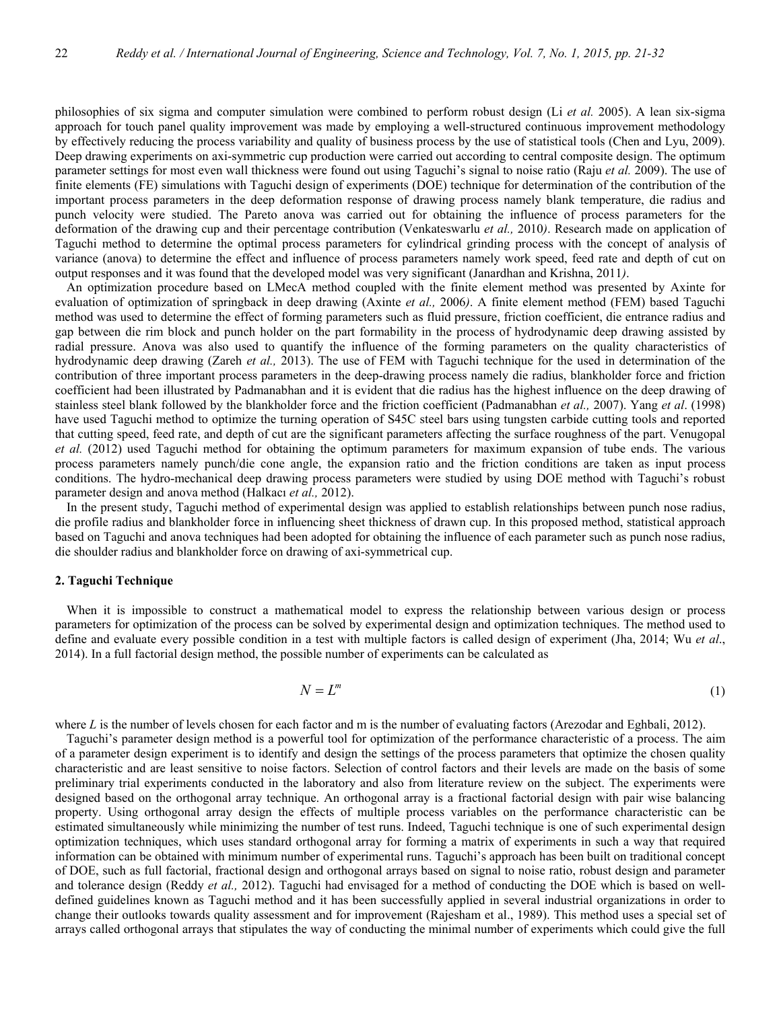philosophies of six sigma and computer simulation were combined to perform robust design (Li *et al.* 2005). A lean six-sigma approach for touch panel quality improvement was made by employing a well-structured continuous improvement methodology by effectively reducing the process variability and quality of business process by the use of statistical tools (Chen and Lyu, 2009). Deep drawing experiments on axi-symmetric cup production were carried out according to central composite design. The optimum parameter settings for most even wall thickness were found out using Taguchi's signal to noise ratio (Raju *et al.* 2009). The use of finite elements (FE) simulations with Taguchi design of experiments (DOE) technique for determination of the contribution of the important process parameters in the deep deformation response of drawing process namely blank temperature, die radius and punch velocity were studied. The Pareto anova was carried out for obtaining the influence of process parameters for the deformation of the drawing cup and their percentage contribution (Venkateswarlu *et al.,* 2010*)*. Research made on application of Taguchi method to determine the optimal process parameters for cylindrical grinding process with the concept of analysis of variance (anova) to determine the effect and influence of process parameters namely work speed, feed rate and depth of cut on output responses and it was found that the developed model was very significant (Janardhan and Krishna, 2011*)*.

An optimization procedure based on LMecA method coupled with the finite element method was presented by Axinte for evaluation of optimization of springback in deep drawing (Axinte *et al.,* 2006*)*. A finite element method (FEM) based Taguchi method was used to determine the effect of forming parameters such as fluid pressure, friction coefficient, die entrance radius and gap between die rim block and punch holder on the part formability in the process of hydrodynamic deep drawing assisted by radial pressure. Anova was also used to quantify the influence of the forming parameters on the quality characteristics of hydrodynamic deep drawing (Zareh *et al.,* 2013). The use of FEM with Taguchi technique for the used in determination of the contribution of three important process parameters in the deep-drawing process namely die radius, blankholder force and friction coefficient had been illustrated by Padmanabhan and it is evident that die radius has the highest influence on the deep drawing of stainless steel blank followed by the blankholder force and the friction coefficient (Padmanabhan *et al.,* 2007). Yang *et al*. (1998) have used Taguchi method to optimize the turning operation of S45C steel bars using tungsten carbide cutting tools and reported that cutting speed, feed rate, and depth of cut are the significant parameters affecting the surface roughness of the part. Venugopal *et al.* (2012) used Taguchi method for obtaining the optimum parameters for maximum expansion of tube ends. The various process parameters namely punch/die cone angle, the expansion ratio and the friction conditions are taken as input process conditions. The hydro-mechanical deep drawing process parameters were studied by using DOE method with Taguchi's robust parameter design and anova method (Halkacı *et al.,* 2012).

In the present study, Taguchi method of experimental design was applied to establish relationships between punch nose radius, die profile radius and blankholder force in influencing sheet thickness of drawn cup. In this proposed method, statistical approach based on Taguchi and anova techniques had been adopted for obtaining the influence of each parameter such as punch nose radius, die shoulder radius and blankholder force on drawing of axi-symmetrical cup.

#### **2. Taguchi Technique**

When it is impossible to construct a mathematical model to express the relationship between various design or process parameters for optimization of the process can be solved by experimental design and optimization techniques. The method used to define and evaluate every possible condition in a test with multiple factors is called design of experiment (Jha, 2014; Wu *et al*., 2014). In a full factorial design method, the possible number of experiments can be calculated as

$$
N = L^m \tag{1}
$$

where *L* is the number of levels chosen for each factor and m is the number of evaluating factors (Arezodar and Eghbali, 2012).

Taguchi's parameter design method is a powerful tool for optimization of the performance characteristic of a process. The aim of a parameter design experiment is to identify and design the settings of the process parameters that optimize the chosen quality characteristic and are least sensitive to noise factors. Selection of control factors and their levels are made on the basis of some preliminary trial experiments conducted in the laboratory and also from literature review on the subject. The experiments were designed based on the orthogonal array technique. An orthogonal array is a fractional factorial design with pair wise balancing property. Using orthogonal array design the effects of multiple process variables on the performance characteristic can be estimated simultaneously while minimizing the number of test runs. Indeed, Taguchi technique is one of such experimental design optimization techniques, which uses standard orthogonal array for forming a matrix of experiments in such a way that required information can be obtained with minimum number of experimental runs. Taguchi's approach has been built on traditional concept of DOE, such as full factorial, fractional design and orthogonal arrays based on signal to noise ratio, robust design and parameter and tolerance design (Reddy *et al.,* 2012). Taguchi had envisaged for a method of conducting the DOE which is based on welldefined guidelines known as Taguchi method and it has been successfully applied in several industrial organizations in order to change their outlooks towards quality assessment and for improvement (Rajesham et al., 1989). This method uses a special set of arrays called orthogonal arrays that stipulates the way of conducting the minimal number of experiments which could give the full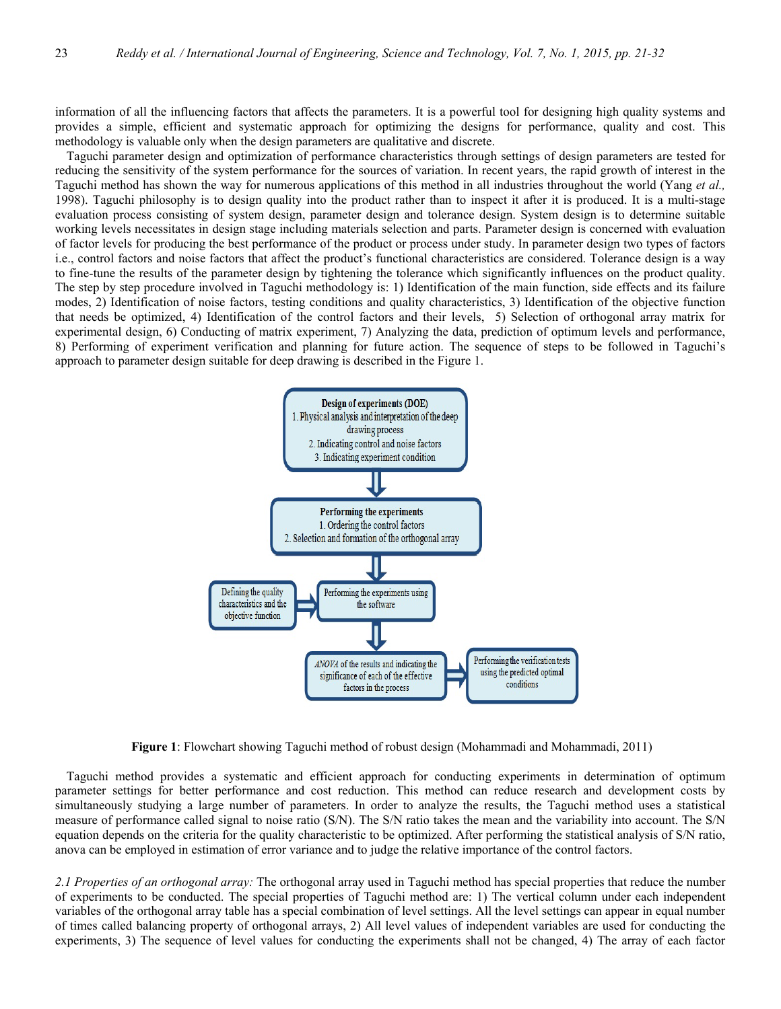information of all the influencing factors that affects the parameters. It is a powerful tool for designing high quality systems and provides a simple, efficient and systematic approach for optimizing the designs for performance, quality and cost. This methodology is valuable only when the design parameters are qualitative and discrete.

Taguchi parameter design and optimization of performance characteristics through settings of design parameters are tested for reducing the sensitivity of the system performance for the sources of variation. In recent years, the rapid growth of interest in the Taguchi method has shown the way for numerous applications of this method in all industries throughout the world (Yang *et al.,*  1998). Taguchi philosophy is to design quality into the product rather than to inspect it after it is produced. It is a multi-stage evaluation process consisting of system design, parameter design and tolerance design. System design is to determine suitable working levels necessitates in design stage including materials selection and parts. Parameter design is concerned with evaluation of factor levels for producing the best performance of the product or process under study. In parameter design two types of factors i.e., control factors and noise factors that affect the product's functional characteristics are considered. Tolerance design is a way to fine-tune the results of the parameter design by tightening the tolerance which significantly influences on the product quality. The step by step procedure involved in Taguchi methodology is: 1) Identification of the main function, side effects and its failure modes, 2) Identification of noise factors, testing conditions and quality characteristics, 3) Identification of the objective function that needs be optimized, 4) Identification of the control factors and their levels, 5) Selection of orthogonal array matrix for experimental design, 6) Conducting of matrix experiment, 7) Analyzing the data, prediction of optimum levels and performance, 8) Performing of experiment verification and planning for future action. The sequence of steps to be followed in Taguchi's approach to parameter design suitable for deep drawing is described in the Figure 1.



 **Figure 1**: Flowchart showing Taguchi method of robust design (Mohammadi and Mohammadi, 2011)

Taguchi method provides a systematic and efficient approach for conducting experiments in determination of optimum parameter settings for better performance and cost reduction. This method can reduce research and development costs by simultaneously studying a large number of parameters. In order to analyze the results, the Taguchi method uses a statistical measure of performance called signal to noise ratio (S/N). The S/N ratio takes the mean and the variability into account. The S/N equation depends on the criteria for the quality characteristic to be optimized. After performing the statistical analysis of S/N ratio, anova can be employed in estimation of error variance and to judge the relative importance of the control factors.

*2.1 Properties of an orthogonal array:* The orthogonal array used in Taguchi method has special properties that reduce the number of experiments to be conducted. The special properties of Taguchi method are: 1) The vertical column under each independent variables of the orthogonal array table has a special combination of level settings. All the level settings can appear in equal number of times called balancing property of orthogonal arrays, 2) All level values of independent variables are used for conducting the experiments, 3) The sequence of level values for conducting the experiments shall not be changed, 4) The array of each factor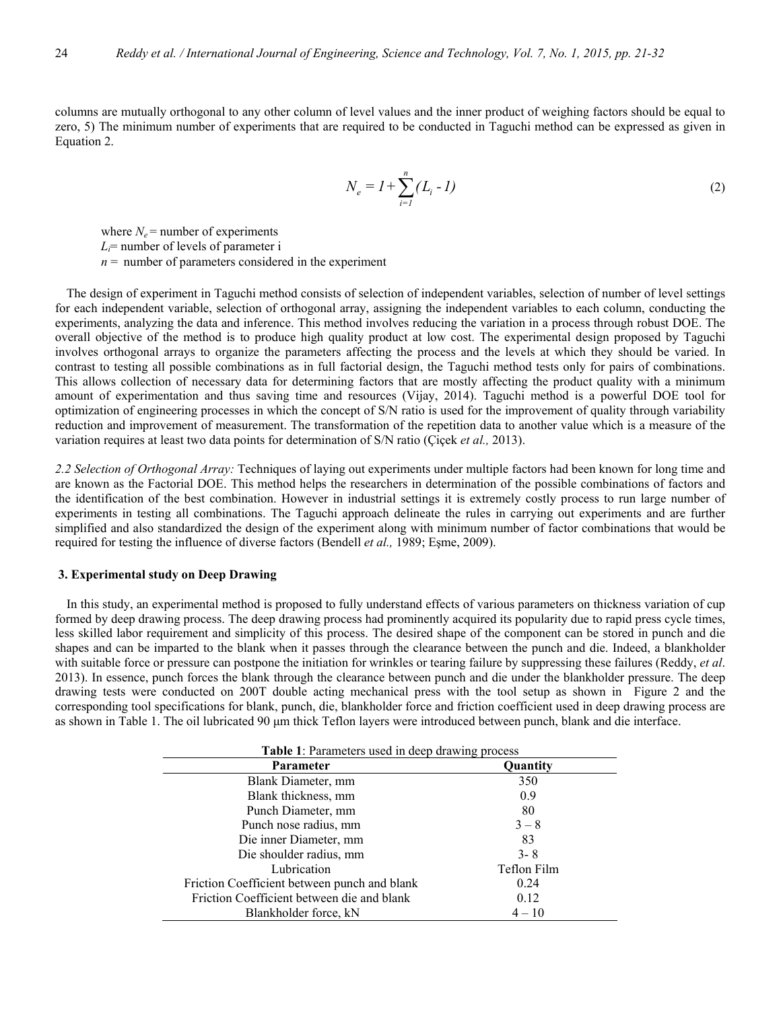columns are mutually orthogonal to any other column of level values and the inner product of weighing factors should be equal to zero, 5) The minimum number of experiments that are required to be conducted in Taguchi method can be expressed as given in Equation 2.

$$
N_e = I + \sum_{i=1}^{n} (L_i - I)
$$
 (2)

where  $N_e$  = number of experiments  $L_i$ = number of levels of parameter i  $n =$  number of parameters considered in the experiment

The design of experiment in Taguchi method consists of selection of independent variables, selection of number of level settings for each independent variable, selection of orthogonal array, assigning the independent variables to each column, conducting the experiments, analyzing the data and inference. This method involves reducing the variation in a process through robust DOE. The overall objective of the method is to produce high quality product at low cost. The experimental design proposed by Taguchi involves orthogonal arrays to organize the parameters affecting the process and the levels at which they should be varied. In contrast to testing all possible combinations as in full factorial design, the Taguchi method tests only for pairs of combinations. This allows collection of necessary data for determining factors that are mostly affecting the product quality with a minimum amount of experimentation and thus saving time and resources (Vijay, 2014). Taguchi method is a powerful DOE tool for optimization of engineering processes in which the concept of S/N ratio is used for the improvement of quality through variability reduction and improvement of measurement. The transformation of the repetition data to another value which is a measure of the variation requires at least two data points for determination of S/N ratio (Çiçek *et al.,* 2013).

*2.2 Selection of Orthogonal Array:* Techniques of laying out experiments under multiple factors had been known for long time and are known as the Factorial DOE. This method helps the researchers in determination of the possible combinations of factors and the identification of the best combination. However in industrial settings it is extremely costly process to run large number of experiments in testing all combinations. The Taguchi approach delineate the rules in carrying out experiments and are further simplified and also standardized the design of the experiment along with minimum number of factor combinations that would be required for testing the influence of diverse factors (Bendell *et al.,* 1989; Eşme, 2009).

# **3. Experimental study on Deep Drawing**

In this study, an experimental method is proposed to fully understand effects of various parameters on thickness variation of cup formed by deep drawing process. The deep drawing process had prominently acquired its popularity due to rapid press cycle times, less skilled labor requirement and simplicity of this process. The desired shape of the component can be stored in punch and die shapes and can be imparted to the blank when it passes through the clearance between the punch and die. Indeed, a blankholder with suitable force or pressure can postpone the initiation for wrinkles or tearing failure by suppressing these failures (Reddy, *et al*. 2013). In essence, punch forces the blank through the clearance between punch and die under the blankholder pressure. The deep drawing tests were conducted on 200T double acting mechanical press with the tool setup as shown in Figure 2 and the corresponding tool specifications for blank, punch, die, blankholder force and friction coefficient used in deep drawing process are as shown in Table 1. The oil lubricated 90 µm thick Teflon layers were introduced between punch, blank and die interface.

| Table 1: Parameters used in deep drawing process |             |  |  |  |  |
|--------------------------------------------------|-------------|--|--|--|--|
| Parameter                                        | Ouantitv    |  |  |  |  |
| Blank Diameter, mm                               | 350         |  |  |  |  |
| Blank thickness, mm                              | 0.9         |  |  |  |  |
| Punch Diameter, mm                               | 80          |  |  |  |  |
| Punch nose radius, mm                            | $3 - 8$     |  |  |  |  |
| Die inner Diameter, mm                           | 83          |  |  |  |  |
| Die shoulder radius, mm                          | $3 - 8$     |  |  |  |  |
| Lubrication                                      | Teflon Film |  |  |  |  |
| Friction Coefficient between punch and blank     | 0.24        |  |  |  |  |
| Friction Coefficient between die and blank       | 0.12        |  |  |  |  |
| Blankholder force, kN                            | $4 - 10$    |  |  |  |  |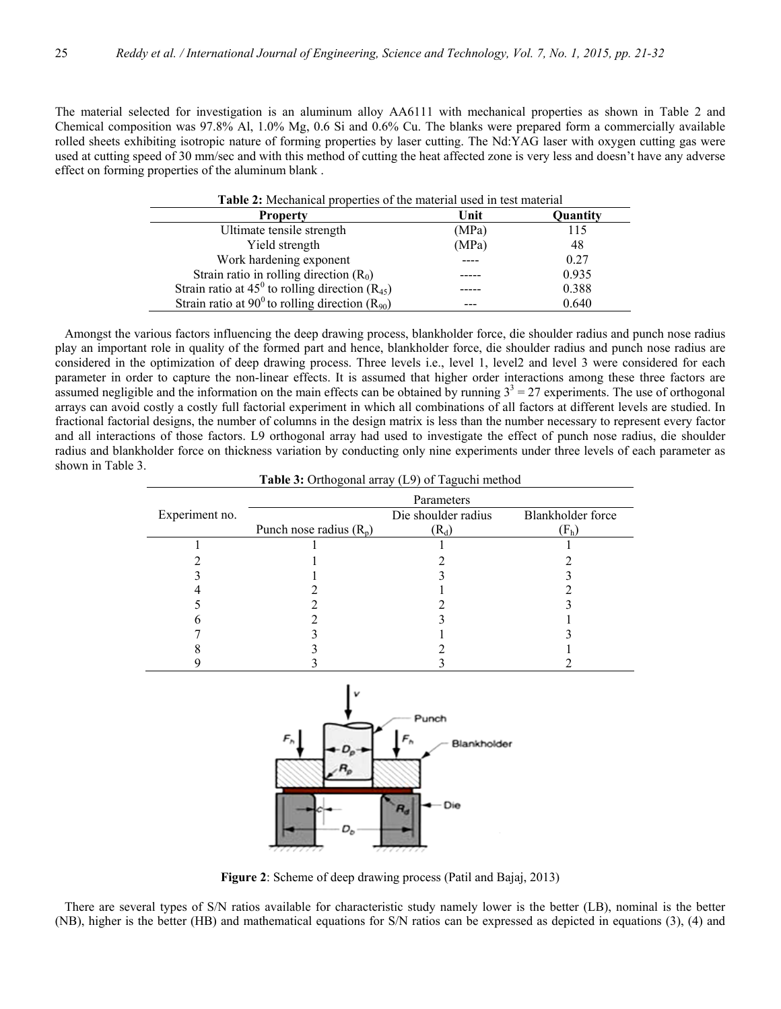The material selected for investigation is an aluminum alloy AA6111 with mechanical properties as shown in Table 2 and Chemical composition was 97.8% Al, 1.0% Mg, 0.6 Si and 0.6% Cu. The blanks were prepared form a commercially available rolled sheets exhibiting isotropic nature of forming properties by laser cutting. The Nd:YAG laser with oxygen cutting gas were used at cutting speed of 30 mm/sec and with this method of cutting the heat affected zone is very less and doesn't have any adverse effect on forming properties of the aluminum blank .

| <b>Table 2:</b> Mechanical properties of the material used in test material |       |          |  |  |  |
|-----------------------------------------------------------------------------|-------|----------|--|--|--|
| <b>Property</b>                                                             | Unit  | Quantity |  |  |  |
| Ultimate tensile strength                                                   | (MPa) | 115      |  |  |  |
| Yield strength                                                              | (MPa) | 48       |  |  |  |
| Work hardening exponent                                                     |       | 0.27     |  |  |  |
| Strain ratio in rolling direction $(R_0)$                                   |       | 0.935    |  |  |  |
| Strain ratio at $45^{\circ}$ to rolling direction (R <sub>45</sub> )        |       | 0.388    |  |  |  |
| Strain ratio at 90 <sup>0</sup> to rolling direction $(R_{90})$             |       | 0.640    |  |  |  |

 Amongst the various factors influencing the deep drawing process, blankholder force, die shoulder radius and punch nose radius play an important role in quality of the formed part and hence, blankholder force, die shoulder radius and punch nose radius are considered in the optimization of deep drawing process. Three levels i.e., level 1, level 2 and level 3 were considered for each parameter in order to capture the non-linear effects. It is assumed that higher order interactions among these three factors are assumed negligible and the information on the main effects can be obtained by running  $3<sup>3</sup> = 27$  experiments. The use of orthogonal arrays can avoid costly a costly full factorial experiment in which all combinations of all factors at different levels are studied. In fractional factorial designs, the number of columns in the design matrix is less than the number necessary to represent every factor and all interactions of those factors. L9 orthogonal array had used to investigate the effect of punch nose radius, die shoulder radius and blankholder force on thickness variation by conducting only nine experiments under three levels of each parameter as shown in Table 3.

|                                                                                                           |                           | <b>Table b:</b> Orthogonal array $(E)$ or Tagaem memor<br>Parameters |                          |  |  |  |
|-----------------------------------------------------------------------------------------------------------|---------------------------|----------------------------------------------------------------------|--------------------------|--|--|--|
| Experiment no.                                                                                            |                           | Die shoulder radius                                                  | <b>Blankholder</b> force |  |  |  |
|                                                                                                           | Punch nose radius $(R_p)$ | $(R_d)$                                                              | (F <sub>h</sub> )        |  |  |  |
|                                                                                                           |                           |                                                                      |                          |  |  |  |
| 2                                                                                                         |                           |                                                                      |                          |  |  |  |
| 3                                                                                                         |                           |                                                                      | 3                        |  |  |  |
|                                                                                                           | 2                         |                                                                      | 2                        |  |  |  |
| 5                                                                                                         | $\overline{2}$            |                                                                      | 3                        |  |  |  |
| h                                                                                                         | 2                         |                                                                      |                          |  |  |  |
|                                                                                                           | 3                         |                                                                      |                          |  |  |  |
| 8                                                                                                         | 3                         |                                                                      |                          |  |  |  |
| 9                                                                                                         | 3                         | 3                                                                    | 2                        |  |  |  |
| Punch<br>$\epsilon_{\scriptscriptstyle\! h}$<br>Blankholder<br>Die<br>$D_{\scriptscriptstyle\mathcal{O}}$ |                           |                                                                      |                          |  |  |  |

**Table 3:** Orthogonal array (L9) of Taguchi method

**Figure 2**: Scheme of deep drawing process (Patil and Bajaj, 2013)

 There are several types of S/N ratios available for characteristic study namely lower is the better (LB), nominal is the better (NB), higher is the better (HB) and mathematical equations for S/N ratios can be expressed as depicted in equations (3), (4) and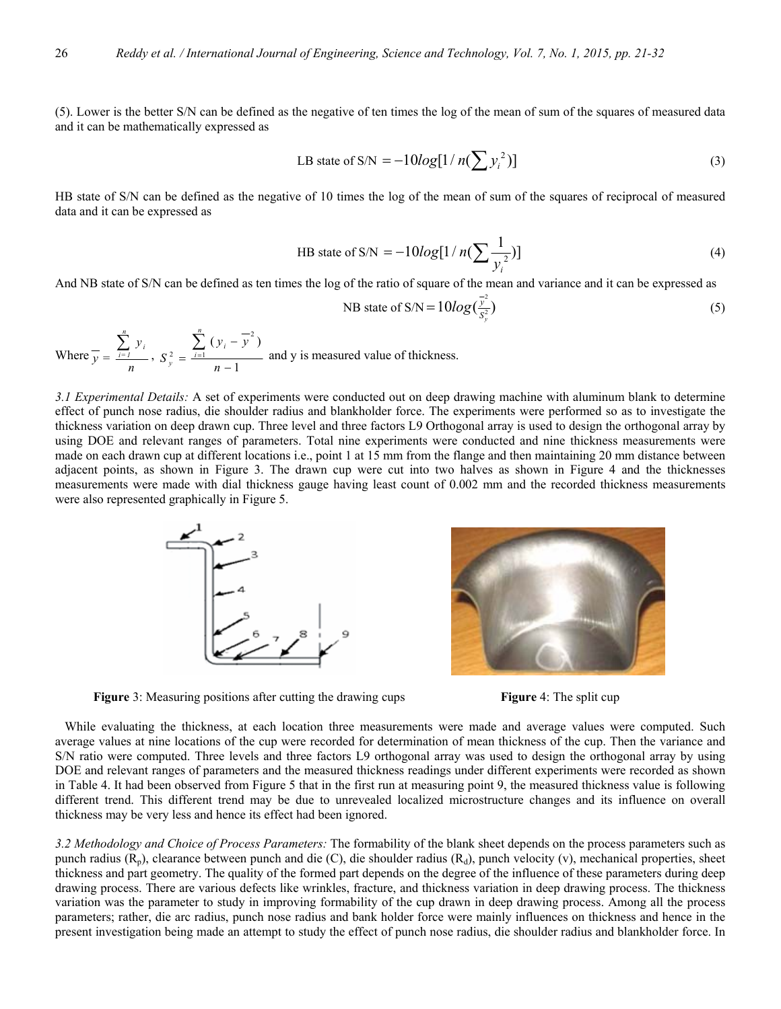(5). Lower is the better S/N can be defined as the negative of ten times the log of the mean of sum of the squares of measured data and it can be mathematically expressed as

$$
LB state of S/N = -10log[1/n(\sum y_i^2)]
$$
\n(3)

HB state of S/N can be defined as the negative of 10 times the log of the mean of sum of the squares of reciprocal of measured data and it can be expressed as

HB state of S/N = 
$$
-10log[1/n(\sum \frac{1}{y_i^2})]
$$
 (4)

And NB state of S/N can be defined as ten times the log of the ratio of square of the mean and variance and it can be expressed as

NB state of S/N = 
$$
10log(\frac{\bar{y}^2}{S_y^2})
$$
 (5)

Where *n i i=1 y*  $y = \frac{i-1}{n}$  $\sum_{i=1}^{n} y_i$ ,  $S^2 = \frac{\sum_{i=1}^{n} (y_i - \overline{y})^2}{\sum_{i=1}^{n} (y_i - \overline{y})^2}$ 2  $\frac{i}{1}$   $i=1$  $(y_i - y^2)$ 1 *n*  $\frac{2}{y} = \frac{\sum_{i=1}^{y} (y_i - y_i)}{y_i}$  $y_i - y$  $S_y^2 = \frac{i=1}{n}$ −  $=\frac{i=1}{n-1}$  $\sum_{i=1}^{\infty}$   $(y_i - \overline{y}^2)$  and y is measured value of thickness.

*3.1 Experimental Details:* A set of experiments were conducted out on deep drawing machine with aluminum blank to determine effect of punch nose radius, die shoulder radius and blankholder force. The experiments were performed so as to investigate the thickness variation on deep drawn cup. Three level and three factors L9 Orthogonal array is used to design the orthogonal array by using DOE and relevant ranges of parameters. Total nine experiments were conducted and nine thickness measurements were made on each drawn cup at different locations i.e., point 1 at 15 mm from the flange and then maintaining 20 mm distance between adjacent points, as shown in Figure 3. The drawn cup were cut into two halves as shown in Figure 4 and the thicknesses measurements were made with dial thickness gauge having least count of 0.002 mm and the recorded thickness measurements were also represented graphically in Figure 5.





 While evaluating the thickness, at each location three measurements were made and average values were computed. Such average values at nine locations of the cup were recorded for determination of mean thickness of the cup. Then the variance and S/N ratio were computed. Three levels and three factors L9 orthogonal array was used to design the orthogonal array by using DOE and relevant ranges of parameters and the measured thickness readings under different experiments were recorded as shown in Table 4. It had been observed from Figure 5 that in the first run at measuring point 9, the measured thickness value is following different trend. This different trend may be due to unrevealed localized microstructure changes and its influence on overall thickness may be very less and hence its effect had been ignored.

*3.2 Methodology and Choice of Process Parameters:* The formability of the blank sheet depends on the process parameters such as punch radius  $(R_p)$ , clearance between punch and die  $(C)$ , die shoulder radius  $(R_d)$ , punch velocity (v), mechanical properties, sheet thickness and part geometry. The quality of the formed part depends on the degree of the influence of these parameters during deep drawing process. There are various defects like wrinkles, fracture, and thickness variation in deep drawing process. The thickness variation was the parameter to study in improving formability of the cup drawn in deep drawing process. Among all the process parameters; rather, die arc radius, punch nose radius and bank holder force were mainly influences on thickness and hence in the present investigation being made an attempt to study the effect of punch nose radius, die shoulder radius and blankholder force. In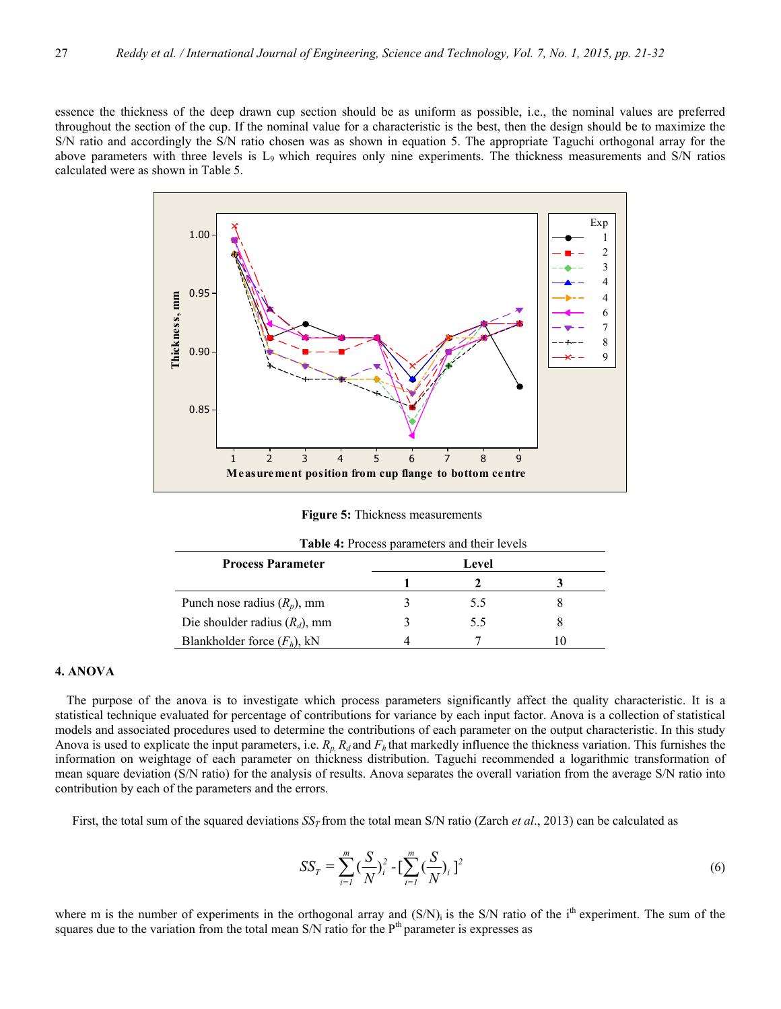essence the thickness of the deep drawn cup section should be as uniform as possible, i.e., the nominal values are preferred throughout the section of the cup. If the nominal value for a characteristic is the best, then the design should be to maximize the S/N ratio and accordingly the S/N ratio chosen was as shown in equation 5. The appropriate Taguchi orthogonal array for the above parameters with three levels is  $L_9$  which requires only nine experiments. The thickness measurements and S/N ratios calculated were as shown in Table 5.



 **Figure 5:** Thickness measurements

| Table 4: Process parameters and their levels |       |     |  |  |  |  |
|----------------------------------------------|-------|-----|--|--|--|--|
| <b>Process Parameter</b>                     | Level |     |  |  |  |  |
|                                              |       |     |  |  |  |  |
| Punch nose radius $(R_p)$ , mm               |       | 5.5 |  |  |  |  |
| Die shoulder radius $(R_d)$ , mm             |       | 5.5 |  |  |  |  |
| Blankholder force $(F_h)$ , kN               |       |     |  |  |  |  |

# **4. ANOVA**

The purpose of the anova is to investigate which process parameters significantly affect the quality characteristic. It is a statistical technique evaluated for percentage of contributions for variance by each input factor. Anova is a collection of statistical models and associated procedures used to determine the contributions of each parameter on the output characteristic. In this study Anova is used to explicate the input parameters, i.e.  $R_p$ ,  $R_d$  and  $F_h$  that markedly influence the thickness variation. This furnishes the information on weightage of each parameter on thickness distribution. Taguchi recommended a logarithmic transformation of mean square deviation (S/N ratio) for the analysis of results. Anova separates the overall variation from the average S/N ratio into contribution by each of the parameters and the errors.

First, the total sum of the squared deviations  $SS_T$  from the total mean S/N ratio (Zarch *et al.*, 2013) can be calculated as

$$
SS_T = \sum_{i=1}^{m} \left(\frac{S}{N}\right)_i^2 - \left[\sum_{i=1}^{m} \left(\frac{S}{N}\right)_i\right]^2 \tag{6}
$$

where m is the number of experiments in the orthogonal array and  $(S/N)$  is the S/N ratio of the i<sup>th</sup> experiment. The sum of the squares due to the variation from the total mean  $S/N$  ratio for the  $P<sup>th</sup>$  parameter is expresses as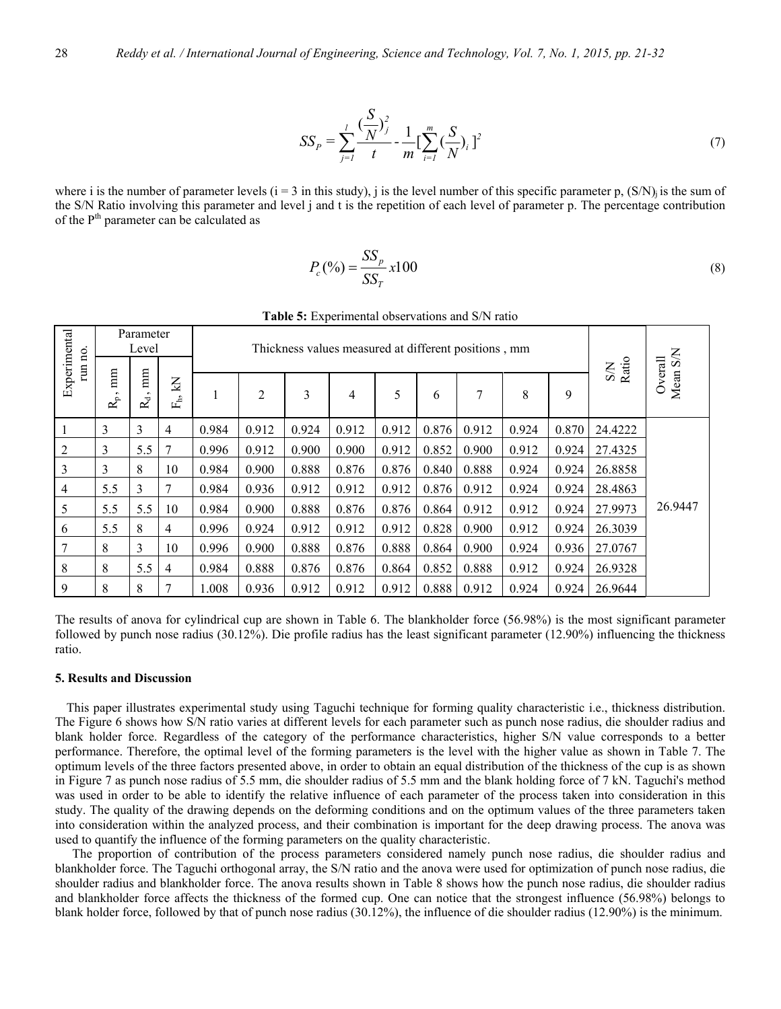$$
SS_P = \sum_{j=1}^{l} \frac{\left(\frac{S}{N}\right)_j^2}{t} - \frac{1}{m} \left[\sum_{i=1}^{m} \left(\frac{S}{N}\right)_i\right]^2
$$
 (7)

where i is the number of parameter levels ( $i = 3$  in this study), j is the level number of this specific parameter p,  $(S/N)$  is the sum of the S/N Ratio involving this parameter and level j and t is the repetition of each level of parameter p. The percentage contribution of the  $P<sup>th</sup>$  parameter can be calculated as

$$
P_c(^{96}) = \frac{SS_p}{SS_T} x100
$$
 (8)

|                        |                                   | Parameter<br>Level |                | Thickness values measured at different positions, mm |                |       |       |       |       |       |       |       |              |                     |
|------------------------|-----------------------------------|--------------------|----------------|------------------------------------------------------|----------------|-------|-------|-------|-------|-------|-------|-------|--------------|---------------------|
| Experimental<br>run no | mm<br>$\mathbf{z}^{\!\mathrm{p}}$ | mm<br>$\mathbf{z}$ | K<br>م<br>س    | 1                                                    | $\overline{2}$ | 3     | 4     | 5     | 6     | 7     | 8     | 9     | S/N<br>Ratio | Mean S/N<br>Overall |
|                        | 3                                 | 3                  | $\overline{4}$ | 0.984                                                | 0.912          | 0.924 | 0.912 | 0.912 | 0.876 | 0.912 | 0.924 | 0.870 | 24.4222      |                     |
| $\overline{2}$         | 3                                 | 5.5                | 7              | 0.996                                                | 0.912          | 0.900 | 0.900 | 0.912 | 0.852 | 0.900 | 0.912 | 0.924 | 27.4325      |                     |
| 3                      | 3                                 | 8                  | 10             | 0.984                                                | 0.900          | 0.888 | 0.876 | 0.876 | 0.840 | 0.888 | 0.924 | 0.924 | 26.8858      |                     |
| $\overline{4}$         | 5.5                               | 3                  |                | 0.984                                                | 0.936          | 0.912 | 0.912 | 0.912 | 0.876 | 0.912 | 0.924 | 0.924 | 28.4863      |                     |
| 5                      | 5.5                               | 5.5                | 10             | 0.984                                                | 0.900          | 0.888 | 0.876 | 0.876 | 0.864 | 0.912 | 0.912 | 0.924 | 27.9973      | 26.9447             |
| 6                      | 5.5                               | 8                  | 4              | 0.996                                                | 0.924          | 0.912 | 0.912 | 0.912 | 0.828 | 0.900 | 0.912 | 0.924 | 26.3039      |                     |
| $\overline{7}$         | 8                                 | 3                  | 10             | 0.996                                                | 0.900          | 0.888 | 0.876 | 0.888 | 0.864 | 0.900 | 0.924 | 0.936 | 27.0767      |                     |
| 8                      | 8                                 | 5.5                | 4              | 0.984                                                | 0.888          | 0.876 | 0.876 | 0.864 | 0.852 | 0.888 | 0.912 | 0.924 | 26.9328      |                     |
| 9                      | 8                                 | 8                  | 7              | 1.008                                                | 0.936          | 0.912 | 0.912 | 0.912 | 0.888 | 0.912 | 0.924 | 0.924 | 26.9644      |                     |

# **Table 5:** Experimental observations and S/N ratio

The results of anova for cylindrical cup are shown in Table 6. The blankholder force (56.98%) is the most significant parameter followed by punch nose radius (30.12%). Die profile radius has the least significant parameter (12.90%) influencing the thickness ratio.

#### **5. Results and Discussion**

This paper illustrates experimental study using Taguchi technique for forming quality characteristic i.e., thickness distribution. The Figure 6 shows how S/N ratio varies at different levels for each parameter such as punch nose radius, die shoulder radius and blank holder force. Regardless of the category of the performance characteristics, higher S/N value corresponds to a better performance. Therefore, the optimal level of the forming parameters is the level with the higher value as shown in Table 7. The optimum levels of the three factors presented above, in order to obtain an equal distribution of the thickness of the cup is as shown in Figure 7 as punch nose radius of 5.5 mm, die shoulder radius of 5.5 mm and the blank holding force of 7 kN. Taguchi's method was used in order to be able to identify the relative influence of each parameter of the process taken into consideration in this study. The quality of the drawing depends on the deforming conditions and on the optimum values of the three parameters taken into consideration within the analyzed process, and their combination is important for the deep drawing process. The anova was used to quantify the influence of the forming parameters on the quality characteristic.

The proportion of contribution of the process parameters considered namely punch nose radius, die shoulder radius and blankholder force. The Taguchi orthogonal array, the S/N ratio and the anova were used for optimization of punch nose radius, die shoulder radius and blankholder force. The anova results shown in Table 8 shows how the punch nose radius, die shoulder radius and blankholder force affects the thickness of the formed cup. One can notice that the strongest influence (56.98%) belongs to blank holder force, followed by that of punch nose radius (30.12%), the influence of die shoulder radius (12.90%) is the minimum.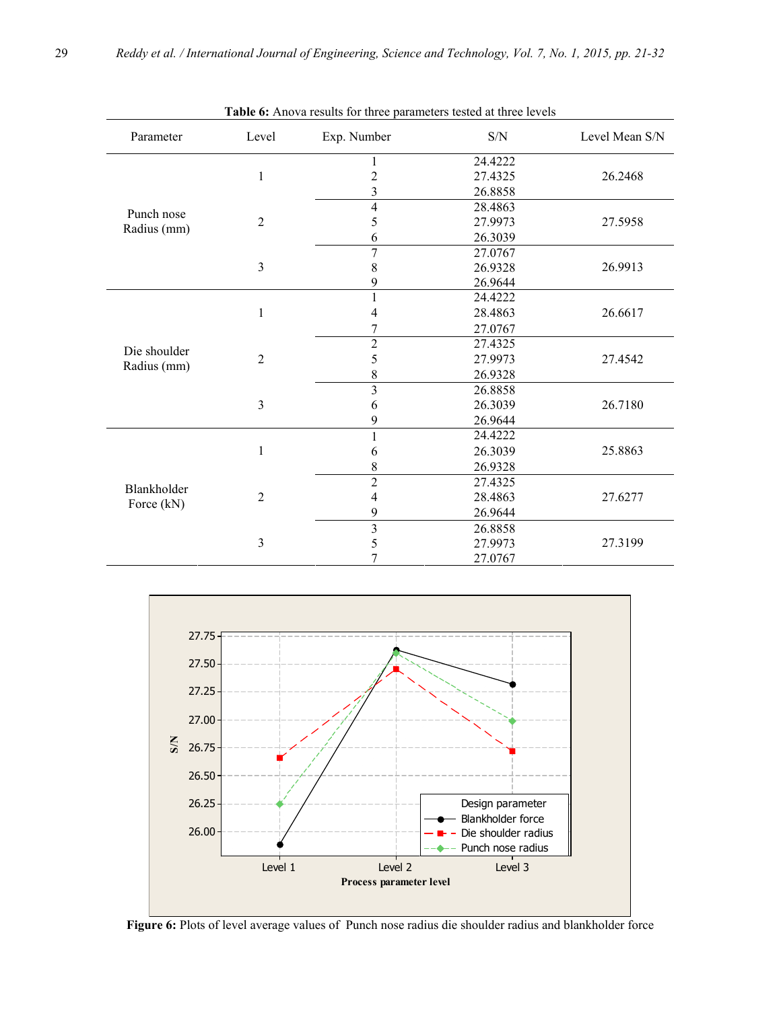| Parameter                     | Level          | Exp. Number    | S/N     | Level Mean S/N |
|-------------------------------|----------------|----------------|---------|----------------|
|                               |                | 1              | 24.4222 |                |
|                               | $\mathbf 1$    | $\overline{2}$ | 27.4325 | 26.2468        |
|                               |                | 3              | 26.8858 |                |
| Punch nose                    |                | $\overline{4}$ | 28.4863 |                |
| Radius (mm)                   | $\overline{2}$ | 5              | 27.9973 | 27.5958        |
|                               |                | 6              | 26.3039 |                |
|                               |                | $\overline{7}$ | 27.0767 |                |
|                               | 3              | $\,$ 8 $\,$    | 26.9328 | 26.9913        |
|                               |                | 9              | 26.9644 |                |
|                               |                | 1              | 24.4222 |                |
|                               | $\mathbf{1}$   | $\overline{4}$ | 28.4863 | 26.6617        |
|                               |                | 7              | 27.0767 |                |
| Die shoulder                  |                | $\overline{2}$ | 27.4325 |                |
| $\overline{2}$<br>Radius (mm) |                | 5              | 27.9973 | 27.4542        |
|                               |                | 8              | 26.9328 |                |
|                               |                | $\overline{3}$ | 26.8858 |                |
|                               | 3              | 6              | 26.3039 | 26.7180        |
|                               |                | 9              | 26.9644 |                |
|                               |                | 1              | 24.4222 |                |
|                               | $\mathbf{1}$   | 6              | 26.3039 | 25.8863        |
|                               |                | 8              | 26.9328 |                |
|                               |                | $\overline{2}$ | 27.4325 |                |
| Blankholder                   | $\overline{2}$ | 4              | 28.4863 | 27.6277        |
|                               | Force (kN)     | 9              | 26.9644 |                |
|                               |                | 3              | 26.8858 |                |
|                               | 3              | 5              | 27.9973 | 27.3199        |
|                               |                | 7              | 27.0767 |                |

**Table 6:** Anova results for three parameters tested at three levels



Figure 6: Plots of level average values of Punch nose radius die shoulder radius and blankholder force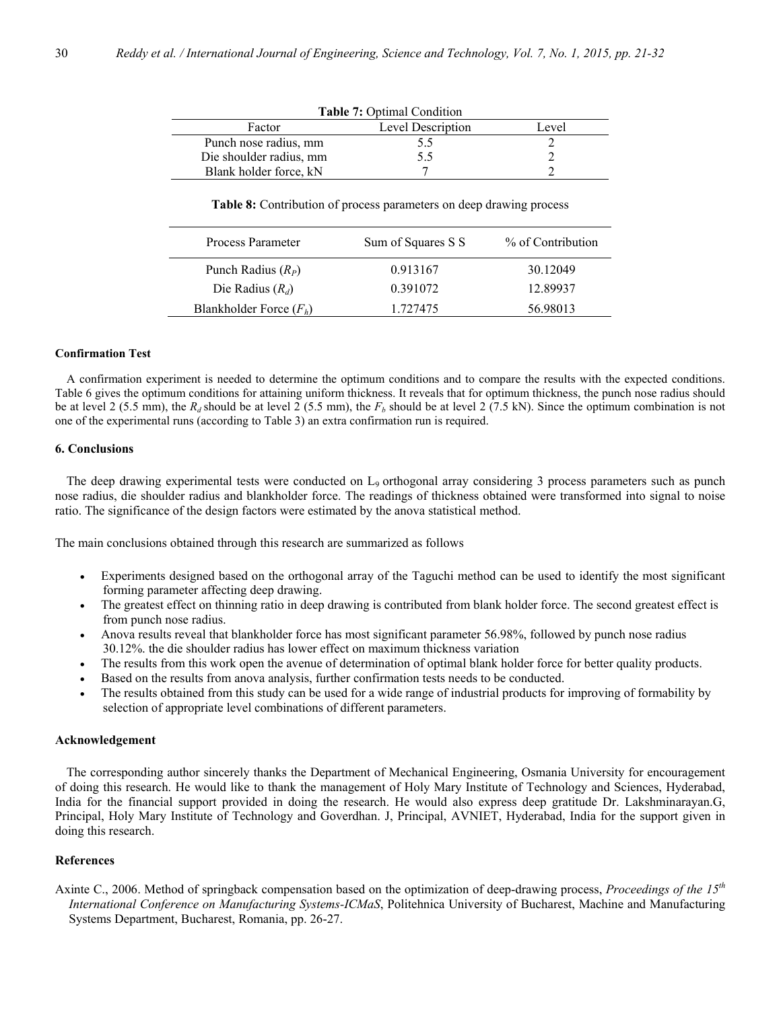| <b>Table 7: Optimal Condition</b> |                   |       |  |  |  |
|-----------------------------------|-------------------|-------|--|--|--|
| Factor                            | Level Description | Level |  |  |  |
| Punch nose radius, mm             | 5.5               |       |  |  |  |
| Die shoulder radius, mm           | 5.5               |       |  |  |  |
| Blank holder force, kN            |                   |       |  |  |  |

**Table 8:** Contribution of process parameters on deep drawing process

| Process Parameter         | Sum of Squares S S | % of Contribution |
|---------------------------|--------------------|-------------------|
| Punch Radius $(R_P)$      | 0.913167           | 30.12049          |
| Die Radius $(R_d)$        | 0.391072           | 12.89937          |
| Blankholder Force $(F_h)$ | 1 727475           | 56.98013          |

## **Confirmation Test**

A confirmation experiment is needed to determine the optimum conditions and to compare the results with the expected conditions. Table 6 gives the optimum conditions for attaining uniform thickness. It reveals that for optimum thickness, the punch nose radius should be at level 2 (5.5 mm), the  $R_d$  should be at level 2 (5.5 mm), the  $F_b$  should be at level 2 (7.5 kN). Since the optimum combination is not one of the experimental runs (according to Table 3) an extra confirmation run is required.

## **6. Conclusions**

The deep drawing experimental tests were conducted on L<sub>9</sub> orthogonal array considering 3 process parameters such as punch nose radius, die shoulder radius and blankholder force. The readings of thickness obtained were transformed into signal to noise ratio. The significance of the design factors were estimated by the anova statistical method.

The main conclusions obtained through this research are summarized as follows

- Experiments designed based on the orthogonal array of the Taguchi method can be used to identify the most significant forming parameter affecting deep drawing.
- The greatest effect on thinning ratio in deep drawing is contributed from blank holder force. The second greatest effect is from punch nose radius.
- Anova results reveal that blankholder force has most significant parameter 56.98%, followed by punch nose radius 30.12%. the die shoulder radius has lower effect on maximum thickness variation
- The results from this work open the avenue of determination of optimal blank holder force for better quality products.
- Based on the results from anova analysis, further confirmation tests needs to be conducted.
- The results obtained from this study can be used for a wide range of industrial products for improving of formability by selection of appropriate level combinations of different parameters.

#### **Acknowledgement**

The corresponding author sincerely thanks the Department of Mechanical Engineering, Osmania University for encouragement of doing this research. He would like to thank the management of Holy Mary Institute of Technology and Sciences, Hyderabad, India for the financial support provided in doing the research. He would also express deep gratitude Dr. Lakshminarayan.G, Principal, Holy Mary Institute of Technology and Goverdhan. J, Principal, AVNIET, Hyderabad, India for the support given in doing this research.

#### **References**

Axinte C., 2006. Method of springback compensation based on the optimization of deep-drawing process, *Proceedings of the 15th International Conference on Manufacturing Systems-ICMaS*, Politehnica University of Bucharest, Machine and Manufacturing Systems Department, Bucharest, Romania, pp. 26-27.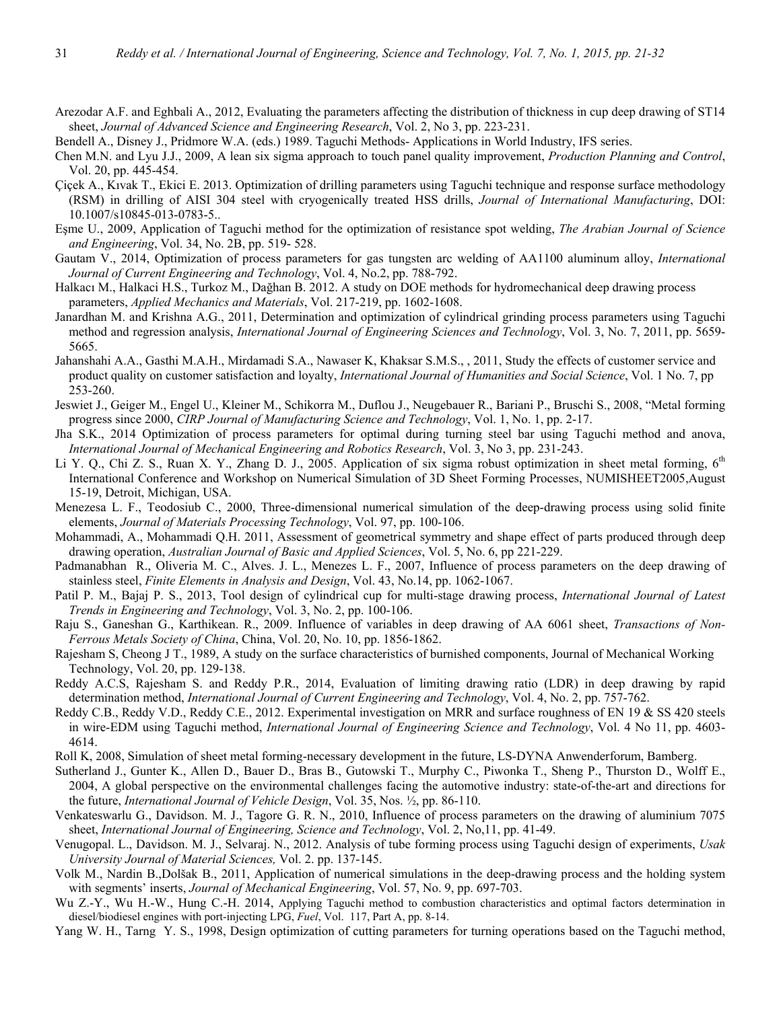Arezodar A.F. and Eghbali A., 2012, Evaluating the parameters affecting the distribution of thickness in cup deep drawing of ST14 sheet, *Journal of Advanced Science and Engineering Research*, Vol. 2, No 3, pp. 223-231.

Bendell A., Disney J., Pridmore W.A. (eds.) 1989. Taguchi Methods- Applications in World Industry, IFS series.

- Chen M.N. and Lyu J.J., 2009, A lean six sigma approach to touch panel quality improvement, *Production Planning and Control*, Vol. 20, pp. 445-454.
- Çiçek A., Kıvak T., Ekici E. 2013. Optimization of drilling parameters using Taguchi technique and response surface methodology (RSM) in drilling of AISI 304 steel with cryogenically treated HSS drills, *Journal of International Manufacturing*, DOI: 10.1007/s10845-013-0783-5..
- Eşme U., 2009, Application of Taguchi method for the optimization of resistance spot welding, *The Arabian Journal of Science and Engineering*, Vol. 34, No. 2B, pp. 519- 528.
- Gautam V., 2014, Optimization of process parameters for gas tungsten arc welding of AA1100 aluminum alloy, *International Journal of Current Engineering and Technology*, Vol. 4, No.2, pp. 788-792.
- Halkacı M., Halkaci H.S., Turkoz M., Dağhan B. 2012. A study on DOE methods for hydromechanical deep drawing process parameters, *Applied Mechanics and Materials*, Vol. 217-219, pp. 1602-1608.
- Janardhan M. and Krishna A.G., 2011, Determination and optimization of cylindrical grinding process parameters using Taguchi method and regression analysis, *International Journal of Engineering Sciences and Technology*, Vol. 3, No. 7, 2011, pp. 5659- 5665.
- Jahanshahi A.A., Gasthi M.A.H., Mirdamadi S.A., Nawaser K, Khaksar S.M.S., , 2011, Study the effects of customer service and product quality on customer satisfaction and loyalty, *International Journal of Humanities and Social Science*, Vol. 1 No. 7, pp 253-260.
- Jeswiet J., Geiger M., Engel U., Kleiner M., Schikorra M., Duflou J., Neugebauer R., Bariani P., Bruschi S., 2008, "Metal forming progress since 2000, *CIRP Journal of Manufacturing Science and Technology*, Vol. 1, No. 1, pp. 2-17.
- Jha S.K., 2014 Optimization of process parameters for optimal during turning steel bar using Taguchi method and anova, *International Journal of Mechanical Engineering and Robotics Research*, Vol. 3, No 3, pp. 231-243.
- Li Y. Q., Chi Z. S., Ruan X. Y., Zhang D. J., 2005. Application of six sigma robust optimization in sheet metal forming, 6<sup>th</sup> International Conference and Workshop on Numerical Simulation of 3D Sheet Forming Processes, NUMISHEET2005,August 15-19, Detroit, Michigan, USA.
- Menezesa L. F., Teodosiub C., 2000, Three-dimensional numerical simulation of the deep-drawing process using solid finite elements, *Journal of Materials Processing Technology*, Vol. 97, pp. 100-106.
- Mohammadi, A., Mohammadi Q.H. 2011, Assessment of geometrical symmetry and shape effect of parts produced through deep drawing operation, *Australian Journal of Basic and Applied Sciences*, Vol. 5, No. 6, pp 221-229.
- Padmanabhan R., Oliveria M. C., Alves. J. L., Menezes L. F., 2007, Influence of process parameters on the deep drawing of stainless steel, *Finite Elements in Analysis and Design*, Vol. 43, No.14, pp. 1062-1067.
- Patil P. M., Bajaj P. S., 2013, Tool design of cylindrical cup for multi-stage drawing process, *International Journal of Latest Trends in Engineering and Technology*, Vol. 3, No. 2, pp. 100-106.
- Raju S., Ganeshan G., Karthikean. R., 2009. Influence of variables in deep drawing of AA 6061 sheet, *Transactions of Non-Ferrous Metals Society of China*, China, Vol. 20, No. 10, pp. 1856-1862.
- Rajesham S, Cheong J T., 1989, A study on the surface characteristics of burnished components, Journal of Mechanical Working Technology, Vol. 20, pp. 129-138.
- Reddy A.C.S, Rajesham S. and Reddy P.R., 2014, Evaluation of limiting drawing ratio (LDR) in deep drawing by rapid determination method, *International Journal of Current Engineering and Technology*, Vol. 4, No. 2, pp. 757-762.
- Reddy C.B., Reddy V.D., Reddy C.E., 2012. Experimental investigation on MRR and surface roughness of EN 19 & SS 420 steels in wire-EDM using Taguchi method, *International Journal of Engineering Science and Technology*, Vol. 4 No 11, pp. 4603- 4614.
- Roll K, 2008, Simulation of sheet metal forming-necessary development in the future, LS-DYNA Anwenderforum, Bamberg.
- Sutherland J., Gunter K., Allen D., Bauer D., Bras B., Gutowski T., Murphy C., Piwonka T., Sheng P., Thurston D., Wolff E., 2004, A global perspective on the environmental challenges facing the automotive industry: state-of-the-art and directions for the future, *International Journal of Vehicle Design*, Vol. 35, Nos. ½, pp. 86-110.
- Venkateswarlu G., Davidson. M. J., Tagore G. R. N., 2010, Influence of process parameters on the drawing of aluminium 7075 sheet, *International Journal of Engineering, Science and Technology*, Vol. 2, No,11, pp. 41-49.
- Venugopal. L., Davidson. M. J., Selvaraj. N., 2012. Analysis of tube forming process using Taguchi design of experiments, *Usak University Journal of Material Sciences,* Vol. 2. pp. 137-145.
- Volk M., Nardin B.,Dolšak B., 2011, Application of numerical simulations in the deep-drawing process and the holding system with segments' inserts, *Journal of Mechanical Engineering*, Vol. 57, No. 9, pp. 697-703.
- Wu Z.-Y., Wu H.-W., Hung C.-H. 2014, Applying Taguchi method to combustion characteristics and optimal factors determination in diesel/biodiesel engines with port-injecting LPG, *Fuel*, Vol. 117, Part A, pp. 8-14.
- Yang W. H., Tarng Y. S., 1998, Design optimization of cutting parameters for turning operations based on the Taguchi method,